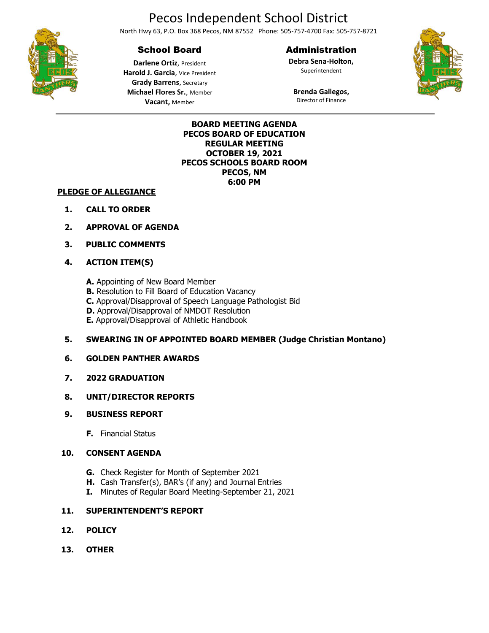# Pecos Independent School District

North Hwy 63, P.O. Box 368 Pecos, NM 87552 Phone: 505-757-4700 Fax: 505-757-8721

# School Board

**Darlene Ortiz**, President **Harold J. Garcia**, Vice President **Grady Barrens**, Secretary **Michael Flores Sr.**, Member **Vacant,** Member

## Administration

**Debra Sena-Holton,** Superintendent



**Brenda Gallegos,** Director of Finance



**BOARD MEETING AGENDA PECOS BOARD OF EDUCATION REGULAR MEETING OCTOBER 19, 2021 PECOS SCHOOLS BOARD ROOM PECOS, NM 6:00 PM**

#### **PLEDGE OF ALLEGIANCE**

- **1. CALL TO ORDER**
- **2. APPROVAL OF AGENDA**
- **3. PUBLIC COMMENTS**

#### **4. ACTION ITEM(S)**

- **A.** Appointing of New Board Member
- **B.** Resolution to Fill Board of Education Vacancy
- **C.** Approval/Disapproval of Speech Language Pathologist Bid
- **D.** Approval/Disapproval of NMDOT Resolution
- **E.** Approval/Disapproval of Athletic Handbook

#### **5. SWEARING IN OF APPOINTED BOARD MEMBER (Judge Christian Montano)**

#### **6. GOLDEN PANTHER AWARDS**

**7. 2022 GRADUATION**

#### **8. UNIT/DIRECTOR REPORTS**

- **9. BUSINESS REPORT**
	- **F.** Financial Status

#### **10. CONSENT AGENDA**

- **G.** Check Register for Month of September 2021
- **H.** Cash Transfer(s), BAR's (if any) and Journal Entries
- **I.** Minutes of Regular Board Meeting-September 21, 2021

#### **11. SUPERINTENDENT'S REPORT**

- **12. POLICY**
- **13. OTHER**

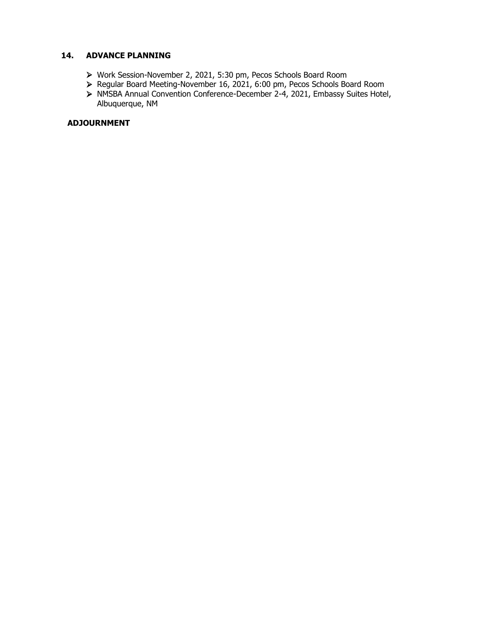## **14. ADVANCE PLANNING**

- ➢ Work Session-November 2, 2021, 5:30 pm, Pecos Schools Board Room
- ➢ Regular Board Meeting-November 16, 2021, 6:00 pm, Pecos Schools Board Room
- ➢ NMSBA Annual Convention Conference-December 2-4, 2021, Embassy Suites Hotel, Albuquerque, NM

#### **ADJOURNMENT**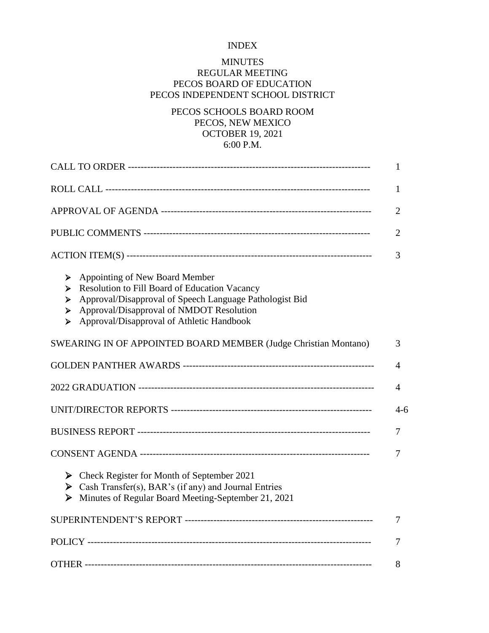# INDEX

# MINUTES REGULAR MEETING PECOS BOARD OF EDUCATION PECOS INDEPENDENT SCHOOL DISTRICT

# PECOS SCHOOLS BOARD ROOM PECOS, NEW MEXICO OCTOBER 19, 2021 6:00 P.M.

|                                                                                                                                                                                                                                                              | 1       |
|--------------------------------------------------------------------------------------------------------------------------------------------------------------------------------------------------------------------------------------------------------------|---------|
|                                                                                                                                                                                                                                                              | 1       |
|                                                                                                                                                                                                                                                              | 2       |
|                                                                                                                                                                                                                                                              | 2       |
|                                                                                                                                                                                                                                                              | 3       |
| Appointing of New Board Member<br>➤<br>Resolution to Fill Board of Education Vacancy<br>➤<br>Approval/Disapproval of Speech Language Pathologist Bid<br>➤<br>Approval/Disapproval of NMDOT Resolution<br>➤<br>Approval/Disapproval of Athletic Handbook<br>➤ |         |
| SWEARING IN OF APPOINTED BOARD MEMBER (Judge Christian Montano)                                                                                                                                                                                              | 3       |
|                                                                                                                                                                                                                                                              | 4       |
|                                                                                                                                                                                                                                                              | 4       |
|                                                                                                                                                                                                                                                              | $4 - 6$ |
|                                                                                                                                                                                                                                                              | 7       |
|                                                                                                                                                                                                                                                              | 7       |
| Solution Check Register for Month of September 2021<br>Solution Cash Transfer(s), BAR's (if any) and Journal Entries<br>Minutes of Regular Board Meeting-September 21, 2021<br>➤                                                                             |         |
|                                                                                                                                                                                                                                                              | 7       |
|                                                                                                                                                                                                                                                              | 7       |
|                                                                                                                                                                                                                                                              | 8       |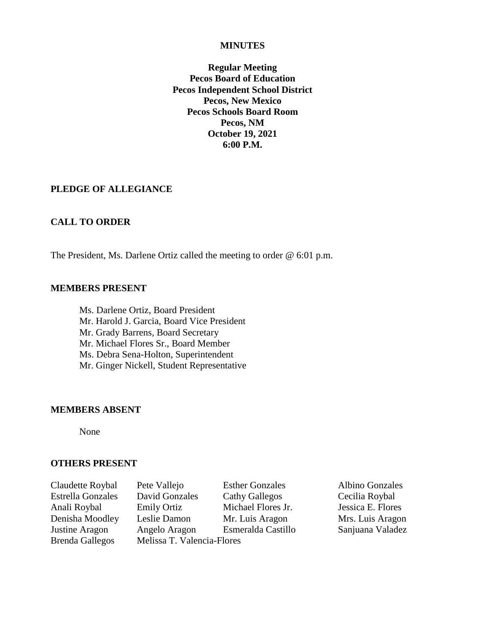#### **MINUTES**

**Regular Meeting Pecos Board of Education Pecos Independent School District Pecos, New Mexico Pecos Schools Board Room Pecos, NM October 19, 2021 6:00 P.M.**

## **PLEDGE OF ALLEGIANCE**

#### **CALL TO ORDER**

The President, Ms. Darlene Ortiz called the meeting to order @ 6:01 p.m.

#### **MEMBERS PRESENT**

Ms. Darlene Ortiz, Board President Mr. Harold J. Garcia, Board Vice President Mr. Grady Barrens, Board Secretary Mr. Michael Flores Sr., Board Member Ms. Debra Sena-Holton, Superintendent Mr. Ginger Nickell, Student Representative

#### **MEMBERS ABSENT**

None

#### **OTHERS PRESENT**

| Claudette Roybal         |
|--------------------------|
| <b>Estrella Gonzales</b> |
| Anali Roybal             |
| Denisha Moodley          |
| Justine Aragon           |
| <b>Brenda Gallegos</b>   |

Pete Vallejo Esther Gonzales Albino Gonzales David Gonzales Cathy Gallegos Cecilia Roybal Emily Ortiz Michael Flores Jr. Jessica E. Flores Leslie Damon Mr. Luis Aragon Mrs. Luis Aragon Angelo Aragon Esmeralda Castillo Sanjuana Valadez Melissa T. Valencia-Flores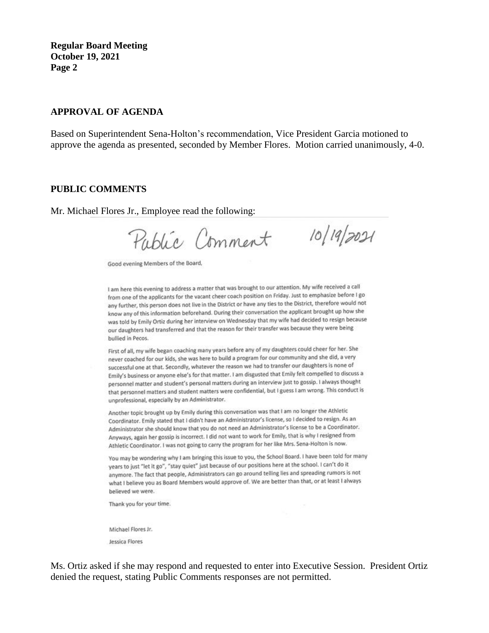#### **APPROVAL OF AGENDA**

Based on Superintendent Sena-Holton's recommendation, Vice President Garcia motioned to approve the agenda as presented, seconded by Member Flores. Motion carried unanimously, 4-0.

#### **PUBLIC COMMENTS**

Mr. Michael Flores Jr., Employee read the following:

Public Comment

Good evening Members of the Board,

I am here this evening to address a matter that was brought to our attention. My wife received a call from one of the applicants for the vacant cheer coach position on Friday. Just to emphasize before I go any further, this person does not live in the District or have any ties to the District, therefore would not know any of this information beforehand. During their conversation the applicant brought up how she was told by Emily Ortiz during her interview on Wednesday that my wife had decided to resign because our daughters had transferred and that the reason for their transfer was because they were being bullied in Pecos.

 $10/19/2021$ 

First of all, my wife began coaching many years before any of my daughters could cheer for her. She never coached for our kids, she was here to build a program for our community and she did, a very successful one at that. Secondly, whatever the reason we had to transfer our daughters is none of Emily's business or anyone else's for that matter. I am disgusted that Emily felt compelled to discuss a personnel matter and student's personal matters during an interview just to gossip. I always thought that personnel matters and student matters were confidential, but I guess I am wrong. This conduct is unprofessional, especially by an Administrator.

Another topic brought up by Emily during this conversation was that I am no longer the Athletic Coordinator. Emily stated that I didn't have an Administrator's license, so I decided to resign. As an Administrator she should know that you do not need an Administrator's license to be a Coordinator. Anyways, again her gossip is incorrect. I did not want to work for Emily, that is why I resigned from Athletic Coordinator. I was not going to carry the program for her like Mrs. Sena-Holton is now.

You may be wondering why I am bringing this issue to you, the School Board. I have been told for many years to just "let it go", "stay quiet" just because of our positions here at the school. I can't do it anymore. The fact that people, Administrators can go around telling lies and spreading rumors is not what I believe you as Board Members would approve of. We are better than that, or at least I always believed we were.

Thank you for your time.

Michael Flores Jr.

Jessica Flores

Ms. Ortiz asked if she may respond and requested to enter into Executive Session. President Ortiz denied the request, stating Public Comments responses are not permitted.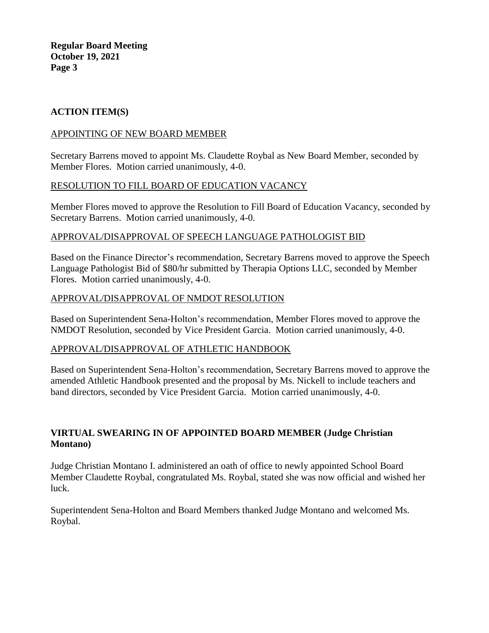# **ACTION ITEM(S)**

## APPOINTING OF NEW BOARD MEMBER

Secretary Barrens moved to appoint Ms. Claudette Roybal as New Board Member, seconded by Member Flores. Motion carried unanimously, 4-0.

## RESOLUTION TO FILL BOARD OF EDUCATION VACANCY

Member Flores moved to approve the Resolution to Fill Board of Education Vacancy, seconded by Secretary Barrens. Motion carried unanimously, 4-0.

## APPROVAL/DISAPPROVAL OF SPEECH LANGUAGE PATHOLOGIST BID

Based on the Finance Director's recommendation, Secretary Barrens moved to approve the Speech Language Pathologist Bid of \$80/hr submitted by Therapia Options LLC, seconded by Member Flores. Motion carried unanimously, 4-0.

## APPROVAL/DISAPPROVAL OF NMDOT RESOLUTION

Based on Superintendent Sena-Holton's recommendation, Member Flores moved to approve the NMDOT Resolution, seconded by Vice President Garcia. Motion carried unanimously, 4-0.

## APPROVAL/DISAPPROVAL OF ATHLETIC HANDBOOK

Based on Superintendent Sena-Holton's recommendation, Secretary Barrens moved to approve the amended Athletic Handbook presented and the proposal by Ms. Nickell to include teachers and band directors, seconded by Vice President Garcia. Motion carried unanimously, 4-0.

# **VIRTUAL SWEARING IN OF APPOINTED BOARD MEMBER (Judge Christian Montano)**

Judge Christian Montano I. administered an oath of office to newly appointed School Board Member Claudette Roybal, congratulated Ms. Roybal, stated she was now official and wished her luck.

Superintendent Sena-Holton and Board Members thanked Judge Montano and welcomed Ms. Roybal.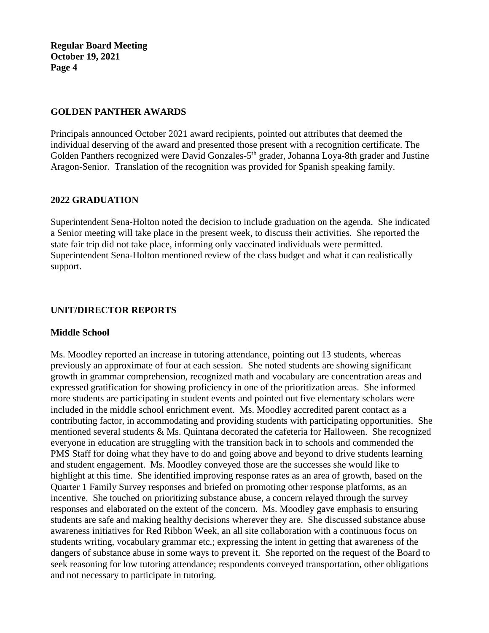## **GOLDEN PANTHER AWARDS**

Principals announced October 2021 award recipients, pointed out attributes that deemed the individual deserving of the award and presented those present with a recognition certificate. The Golden Panthers recognized were David Gonzales-5<sup>th</sup> grader, Johanna Loya-8th grader and Justine Aragon-Senior. Translation of the recognition was provided for Spanish speaking family.

# **2022 GRADUATION**

Superintendent Sena-Holton noted the decision to include graduation on the agenda. She indicated a Senior meeting will take place in the present week, to discuss their activities. She reported the state fair trip did not take place, informing only vaccinated individuals were permitted. Superintendent Sena-Holton mentioned review of the class budget and what it can realistically support.

# **UNIT/DIRECTOR REPORTS**

## **Middle School**

Ms. Moodley reported an increase in tutoring attendance, pointing out 13 students, whereas previously an approximate of four at each session. She noted students are showing significant growth in grammar comprehension, recognized math and vocabulary are concentration areas and expressed gratification for showing proficiency in one of the prioritization areas. She informed more students are participating in student events and pointed out five elementary scholars were included in the middle school enrichment event. Ms. Moodley accredited parent contact as a contributing factor, in accommodating and providing students with participating opportunities. She mentioned several students & Ms. Quintana decorated the cafeteria for Halloween. She recognized everyone in education are struggling with the transition back in to schools and commended the PMS Staff for doing what they have to do and going above and beyond to drive students learning and student engagement. Ms. Moodley conveyed those are the successes she would like to highlight at this time. She identified improving response rates as an area of growth, based on the Quarter 1 Family Survey responses and briefed on promoting other response platforms, as an incentive. She touched on prioritizing substance abuse, a concern relayed through the survey responses and elaborated on the extent of the concern. Ms. Moodley gave emphasis to ensuring students are safe and making healthy decisions wherever they are. She discussed substance abuse awareness initiatives for Red Ribbon Week, an all site collaboration with a continuous focus on students writing, vocabulary grammar etc.; expressing the intent in getting that awareness of the dangers of substance abuse in some ways to prevent it. She reported on the request of the Board to seek reasoning for low tutoring attendance; respondents conveyed transportation, other obligations and not necessary to participate in tutoring.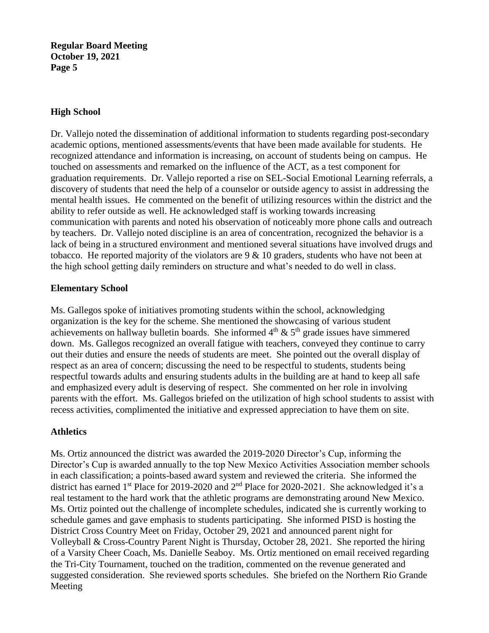# **High School**

Dr. Vallejo noted the dissemination of additional information to students regarding post-secondary academic options, mentioned assessments/events that have been made available for students. He recognized attendance and information is increasing, on account of students being on campus. He touched on assessments and remarked on the influence of the ACT, as a test component for graduation requirements. Dr. Vallejo reported a rise on SEL-Social Emotional Learning referrals, a discovery of students that need the help of a counselor or outside agency to assist in addressing the mental health issues. He commented on the benefit of utilizing resources within the district and the ability to refer outside as well. He acknowledged staff is working towards increasing communication with parents and noted his observation of noticeably more phone calls and outreach by teachers. Dr. Vallejo noted discipline is an area of concentration, recognized the behavior is a lack of being in a structured environment and mentioned several situations have involved drugs and tobacco. He reported majority of the violators are  $9 \& 10$  graders, students who have not been at the high school getting daily reminders on structure and what's needed to do well in class.

## **Elementary School**

Ms. Gallegos spoke of initiatives promoting students within the school, acknowledging organization is the key for the scheme. She mentioned the showcasing of various student achievements on hallway bulletin boards. She informed  $4<sup>th</sup>$  &  $5<sup>th</sup>$  grade issues have simmered down. Ms. Gallegos recognized an overall fatigue with teachers, conveyed they continue to carry out their duties and ensure the needs of students are meet. She pointed out the overall display of respect as an area of concern; discussing the need to be respectful to students, students being respectful towards adults and ensuring students adults in the building are at hand to keep all safe and emphasized every adult is deserving of respect. She commented on her role in involving parents with the effort. Ms. Gallegos briefed on the utilization of high school students to assist with recess activities, complimented the initiative and expressed appreciation to have them on site.

## **Athletics**

Ms. Ortiz announced the district was awarded the 2019-2020 Director's Cup, informing the Director's Cup is awarded annually to the top New Mexico Activities Association member schools in each classification; a points-based award system and reviewed the criteria. She informed the district has earned 1<sup>st</sup> Place for 2019-2020 and 2<sup>nd</sup> Place for 2020-2021. She acknowledged it's a real testament to the hard work that the athletic programs are demonstrating around New Mexico. Ms. Ortiz pointed out the challenge of incomplete schedules, indicated she is currently working to schedule games and gave emphasis to students participating. She informed PISD is hosting the District Cross Country Meet on Friday, October 29, 2021 and announced parent night for Volleyball & Cross-Country Parent Night is Thursday, October 28, 2021. She reported the hiring of a Varsity Cheer Coach, Ms. Danielle Seaboy. Ms. Ortiz mentioned on email received regarding the Tri-City Tournament, touched on the tradition, commented on the revenue generated and suggested consideration. She reviewed sports schedules. She briefed on the Northern Rio Grande Meeting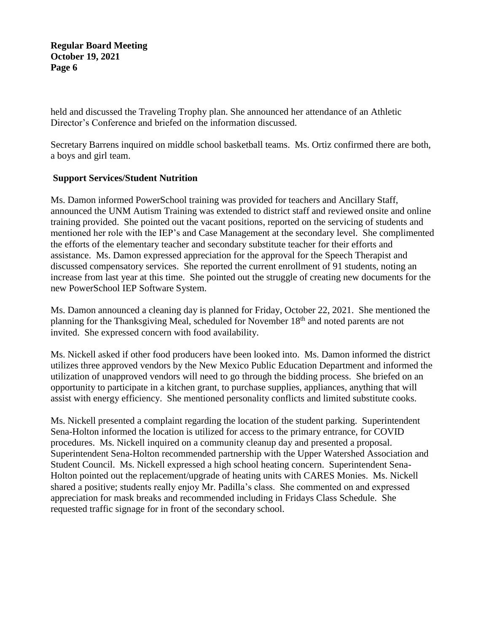held and discussed the Traveling Trophy plan. She announced her attendance of an Athletic Director's Conference and briefed on the information discussed.

Secretary Barrens inquired on middle school basketball teams. Ms. Ortiz confirmed there are both, a boys and girl team.

# **Support Services/Student Nutrition**

Ms. Damon informed PowerSchool training was provided for teachers and Ancillary Staff, announced the UNM Autism Training was extended to district staff and reviewed onsite and online training provided. She pointed out the vacant positions, reported on the servicing of students and mentioned her role with the IEP's and Case Management at the secondary level. She complimented the efforts of the elementary teacher and secondary substitute teacher for their efforts and assistance. Ms. Damon expressed appreciation for the approval for the Speech Therapist and discussed compensatory services. She reported the current enrollment of 91 students, noting an increase from last year at this time. She pointed out the struggle of creating new documents for the new PowerSchool IEP Software System.

Ms. Damon announced a cleaning day is planned for Friday, October 22, 2021. She mentioned the planning for the Thanksgiving Meal, scheduled for November 18<sup>th</sup> and noted parents are not invited. She expressed concern with food availability.

Ms. Nickell asked if other food producers have been looked into. Ms. Damon informed the district utilizes three approved vendors by the New Mexico Public Education Department and informed the utilization of unapproved vendors will need to go through the bidding process. She briefed on an opportunity to participate in a kitchen grant, to purchase supplies, appliances, anything that will assist with energy efficiency. She mentioned personality conflicts and limited substitute cooks.

Ms. Nickell presented a complaint regarding the location of the student parking. Superintendent Sena-Holton informed the location is utilized for access to the primary entrance, for COVID procedures. Ms. Nickell inquired on a community cleanup day and presented a proposal. Superintendent Sena-Holton recommended partnership with the Upper Watershed Association and Student Council. Ms. Nickell expressed a high school heating concern. Superintendent Sena-Holton pointed out the replacement/upgrade of heating units with CARES Monies. Ms. Nickell shared a positive; students really enjoy Mr. Padilla's class. She commented on and expressed appreciation for mask breaks and recommended including in Fridays Class Schedule. She requested traffic signage for in front of the secondary school.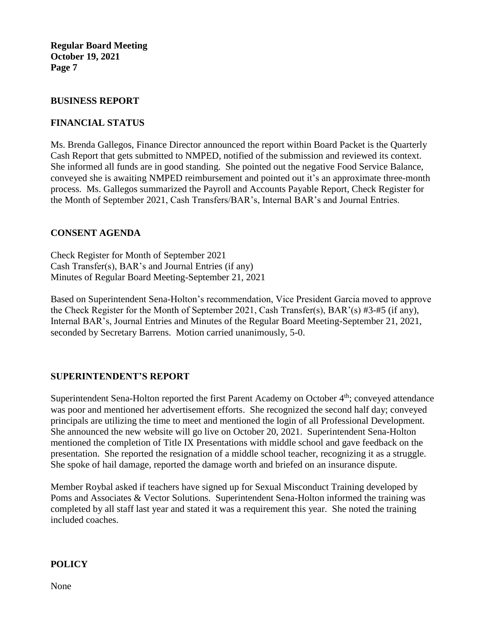#### **BUSINESS REPORT**

## **FINANCIAL STATUS**

Ms. Brenda Gallegos, Finance Director announced the report within Board Packet is the Quarterly Cash Report that gets submitted to NMPED, notified of the submission and reviewed its context. She informed all funds are in good standing. She pointed out the negative Food Service Balance, conveyed she is awaiting NMPED reimbursement and pointed out it's an approximate three-month process. Ms. Gallegos summarized the Payroll and Accounts Payable Report, Check Register for the Month of September 2021, Cash Transfers/BAR's, Internal BAR's and Journal Entries.

## **CONSENT AGENDA**

Check Register for Month of September 2021 Cash Transfer(s), BAR's and Journal Entries (if any) Minutes of Regular Board Meeting-September 21, 2021

Based on Superintendent Sena-Holton's recommendation, Vice President Garcia moved to approve the Check Register for the Month of September 2021, Cash Transfer(s), BAR'(s) #3-#5 (if any), Internal BAR's, Journal Entries and Minutes of the Regular Board Meeting-September 21, 2021, seconded by Secretary Barrens. Motion carried unanimously, 5-0.

## **SUPERINTENDENT'S REPORT**

Superintendent Sena-Holton reported the first Parent Academy on October 4<sup>th</sup>; conveyed attendance was poor and mentioned her advertisement efforts. She recognized the second half day; conveyed principals are utilizing the time to meet and mentioned the login of all Professional Development. She announced the new website will go live on October 20, 2021. Superintendent Sena-Holton mentioned the completion of Title IX Presentations with middle school and gave feedback on the presentation. She reported the resignation of a middle school teacher, recognizing it as a struggle. She spoke of hail damage, reported the damage worth and briefed on an insurance dispute.

Member Roybal asked if teachers have signed up for Sexual Misconduct Training developed by Poms and Associates & Vector Solutions. Superintendent Sena-Holton informed the training was completed by all staff last year and stated it was a requirement this year. She noted the training included coaches.

#### **POLICY**

None